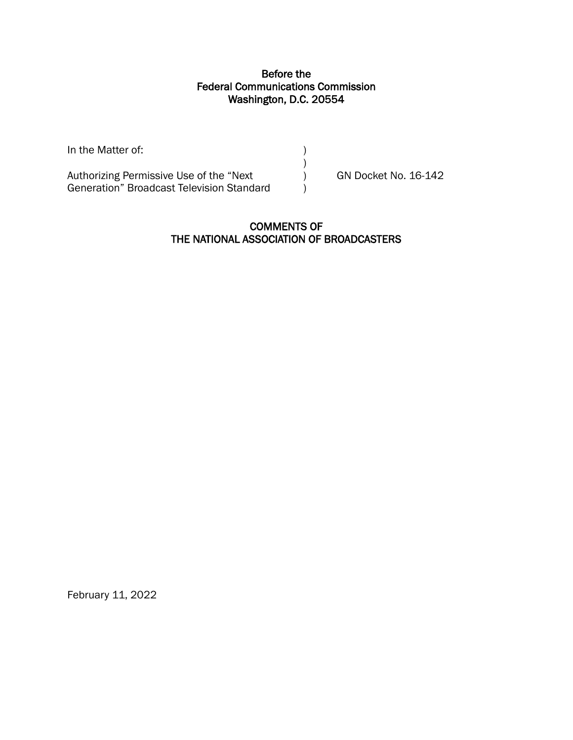# Before the Federal Communications Commission Washington, D.C. 20554

In the Matter of:  $\qquad \qquad \qquad$  ) ) Authorizing Permissive Use of the "Next (a) GN Docket No. 16-142 Generation" Broadcast Television Standard (1)

### COMMENTS OF THE NATIONAL ASSOCIATION OF BROADCASTERS

February 11, 2022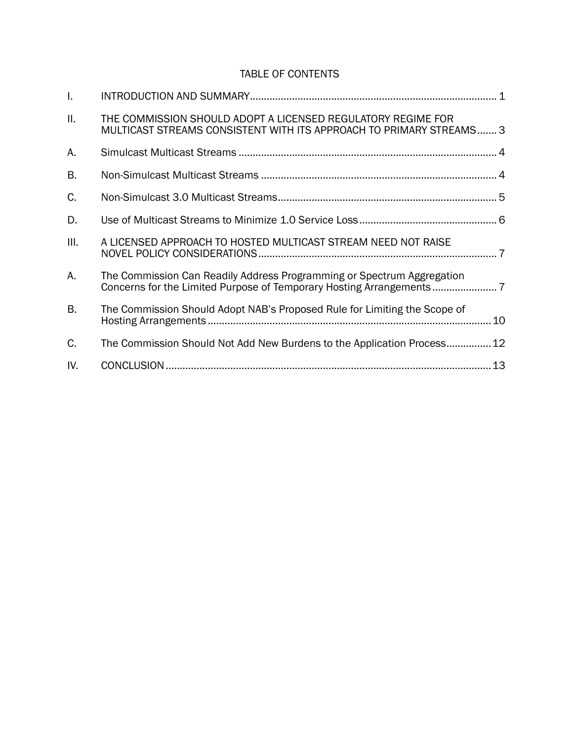# TABLE OF CONTENTS

| $\mathbf{L}$ |                                                                                                                                     |  |
|--------------|-------------------------------------------------------------------------------------------------------------------------------------|--|
| ΙΙ.          | THE COMMISSION SHOULD ADOPT A LICENSED REGULATORY REGIME FOR<br>MULTICAST STREAMS CONSISTENT WITH ITS APPROACH TO PRIMARY STREAMS 3 |  |
| А.           |                                                                                                                                     |  |
| B.           |                                                                                                                                     |  |
| C.           |                                                                                                                                     |  |
| D.           |                                                                                                                                     |  |
| Ш.           | A LICENSED APPROACH TO HOSTED MULTICAST STREAM NEED NOT RAISE                                                                       |  |
| А.           | The Commission Can Readily Address Programming or Spectrum Aggregation                                                              |  |
| B.           | The Commission Should Adopt NAB's Proposed Rule for Limiting the Scope of                                                           |  |
| C.           | The Commission Should Not Add New Burdens to the Application Process 12                                                             |  |
| IV.          |                                                                                                                                     |  |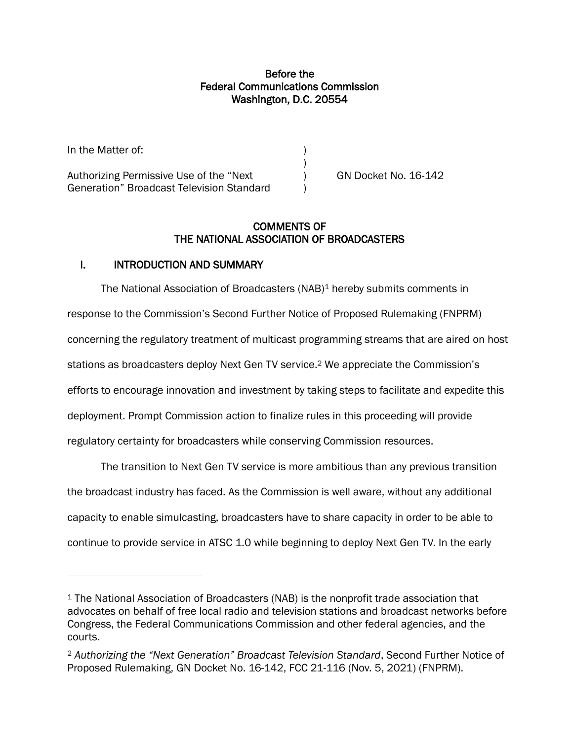# Before the Federal Communications Commission Washington, D.C. 20554

In the Matter of:  $\qquad \qquad$  ) Authorizing Permissive Use of the "Next (a) GN Docket No. 16-142 Generation" Broadcast Television Standard )

# COMMENTS OF THE NATIONAL ASSOCIATION OF BROADCASTERS

)

### <span id="page-2-0"></span>I. INTRODUCTION AND SUMMARY

The National Association of Broadcasters (NAB)<sup>1</sup> hereby submits comments in response to the Commission's Second Further Notice of Proposed Rulemaking (FNPRM) concerning the regulatory treatment of multicast programming streams that are aired on host stations as broadcasters deploy Next Gen TV service. <sup>2</sup> We appreciate the Commission's efforts to encourage innovation and investment by taking steps to facilitate and expedite this deployment. Prompt Commission action to finalize rules in this proceeding will provide regulatory certainty for broadcasters while conserving Commission resources.

The transition to Next Gen TV service is more ambitious than any previous transition the broadcast industry has faced. As the Commission is well aware, without any additional capacity to enable simulcasting, broadcasters have to share capacity in order to be able to continue to provide service in ATSC 1.0 while beginning to deploy Next Gen TV. In the early

<sup>1</sup> The National Association of Broadcasters (NAB) is the nonprofit trade association that advocates on behalf of free local radio and television stations and broadcast networks before Congress, the Federal Communications Commission and other federal agencies, and the courts.

<sup>2</sup> *Authorizing the "Next Generation" Broadcast Television Standard*, Second Further Notice of Proposed Rulemaking, GN Docket No. 16-142, FCC 21-116 (Nov. 5, 2021) (FNPRM).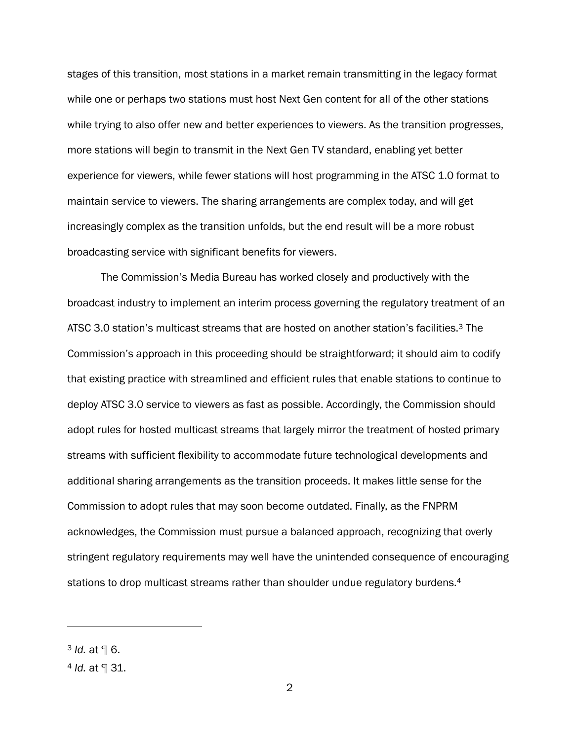stages of this transition, most stations in a market remain transmitting in the legacy format while one or perhaps two stations must host Next Gen content for all of the other stations while trying to also offer new and better experiences to viewers. As the transition progresses, more stations will begin to transmit in the Next Gen TV standard, enabling yet better experience for viewers, while fewer stations will host programming in the ATSC 1.0 format to maintain service to viewers. The sharing arrangements are complex today, and will get increasingly complex as the transition unfolds, but the end result will be a more robust broadcasting service with significant benefits for viewers.

The Commission's Media Bureau has worked closely and productively with the broadcast industry to implement an interim process governing the regulatory treatment of an ATSC 3.0 station's multicast streams that are hosted on another station's facilities.<sup>3</sup> The Commission's approach in this proceeding should be straightforward; it should aim to codify that existing practice with streamlined and efficient rules that enable stations to continue to deploy ATSC 3.0 service to viewers as fast as possible. Accordingly, the Commission should adopt rules for hosted multicast streams that largely mirror the treatment of hosted primary streams with sufficient flexibility to accommodate future technological developments and additional sharing arrangements as the transition proceeds. It makes little sense for the Commission to adopt rules that may soon become outdated. Finally, as the FNPRM acknowledges, the Commission must pursue a balanced approach, recognizing that overly stringent regulatory requirements may well have the unintended consequence of encouraging stations to drop multicast streams rather than shoulder undue regulatory burdens.<sup>4</sup>

<sup>3</sup> *Id.* at ¶ 6.

<sup>4</sup> *Id.* at ¶ 31.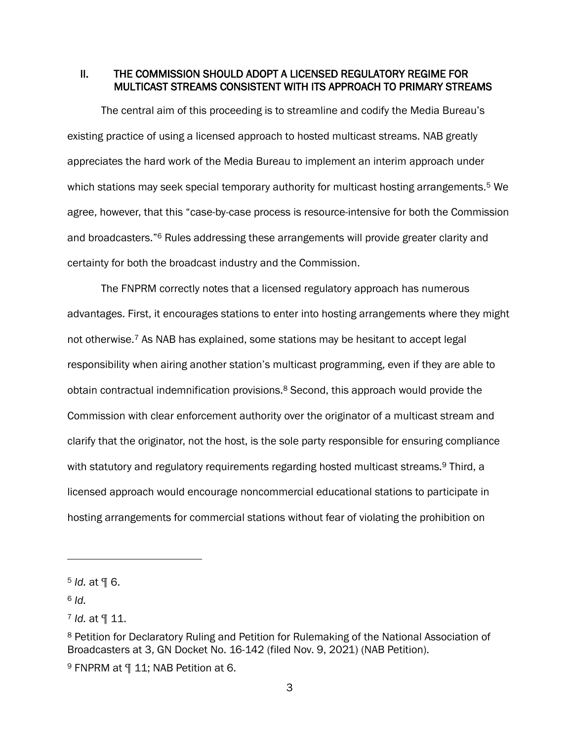### <span id="page-4-0"></span>II. THE COMMISSION SHOULD ADOPT A LICENSED REGULATORY REGIME FOR MULTICAST STREAMS CONSISTENT WITH ITS APPROACH TO PRIMARY STREAMS

The central aim of this proceeding is to streamline and codify the Media Bureau's existing practice of using a licensed approach to hosted multicast streams. NAB greatly appreciates the hard work of the Media Bureau to implement an interim approach under which stations may seek special temporary authority for multicast hosting arrangements.<sup>5</sup> We agree, however, that this "case-by-case process is resource-intensive for both the Commission and broadcasters."<sup>6</sup> Rules addressing these arrangements will provide greater clarity and certainty for both the broadcast industry and the Commission.

The FNPRM correctly notes that a licensed regulatory approach has numerous advantages. First, it encourages stations to enter into hosting arrangements where they might not otherwise. <sup>7</sup> As NAB has explained, some stations may be hesitant to accept legal responsibility when airing another station's multicast programming, even if they are able to obtain contractual indemnification provisions.<sup>8</sup> Second, this approach would provide the Commission with clear enforcement authority over the originator of a multicast stream and clarify that the originator, not the host, is the sole party responsible for ensuring compliance with statutory and regulatory requirements regarding hosted multicast streams.<sup>9</sup> Third, a licensed approach would encourage noncommercial educational stations to participate in hosting arrangements for commercial stations without fear of violating the prohibition on

 $6$  *Id.* 

<sup>5</sup> *Id.* at ¶ 6.

<sup>7</sup> *Id.* at ¶ 11.

<sup>8</sup> Petition for Declaratory Ruling and Petition for Rulemaking of the National Association of Broadcasters at 3, GN Docket No. 16-142 (filed Nov. 9, 2021) (NAB Petition).

<sup>9</sup> FNPRM at ¶ 11; NAB Petition at 6.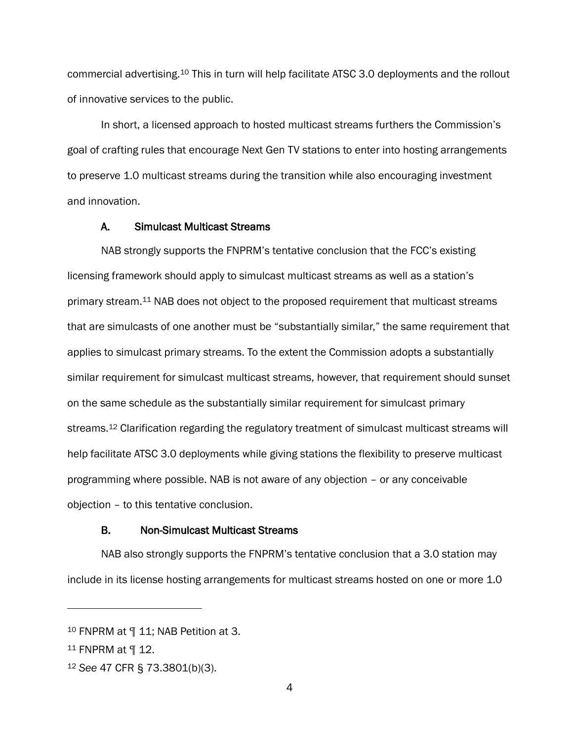commercial advertising.<sup>10</sup> This in turn will help facilitate ATSC 3.0 deployments and the rollout of innovative services to the public.

In short, a licensed approach to hosted multicast streams furthers the Commission's goal of crafting rules that encourage Next Gen TV stations to enter into hosting arrangements to preserve 1.0 multicast streams during the transition while also encouraging investment and innovation.

### A. Simulcast Multicast Streams

<span id="page-5-0"></span>NAB strongly supports the FNPRM's tentative conclusion that the FCC's existing licensing framework should apply to simulcast multicast streams as well as a station's primary stream.<sup>11</sup> NAB does not object to the proposed requirement that multicast streams that are simulcasts of one another must be "substantially similar," the same requirement that applies to simulcast primary streams. To the extent the Commission adopts a substantially similar requirement for simulcast multicast streams, however, that requirement should sunset on the same schedule as the substantially similar requirement for simulcast primary streams.<sup>12</sup> Clarification regarding the regulatory treatment of simulcast multicast streams will help facilitate ATSC 3.0 deployments while giving stations the flexibility to preserve multicast programming where possible. NAB is not aware of any objection – or any conceivable objection – to this tentative conclusion.

#### <span id="page-5-1"></span>B. Non-Simulcast Multicast Streams

NAB also strongly supports the FNPRM's tentative conclusion that a 3.0 station may include in its license hosting arrangements for multicast streams hosted on one or more 1.0

<sup>10</sup> FNPRM at ¶ 11; NAB Petition at 3.

<sup>11</sup> FNPRM at ¶ 12.

<sup>12</sup> *See* 47 CFR § 73.3801(b)(3).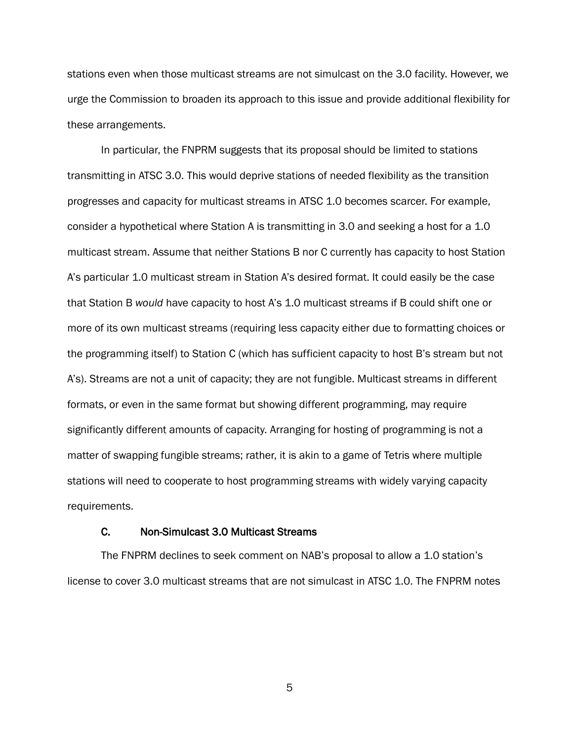stations even when those multicast streams are not simulcast on the 3.0 facility. However, we urge the Commission to broaden its approach to this issue and provide additional flexibility for these arrangements.

In particular, the FNPRM suggests that its proposal should be limited to stations transmitting in ATSC 3.0. This would deprive stations of needed flexibility as the transition progresses and capacity for multicast streams in ATSC 1.0 becomes scarcer. For example, consider a hypothetical where Station A is transmitting in 3.0 and seeking a host for a 1.0 multicast stream. Assume that neither Stations B nor C currently has capacity to host Station A's particular 1.0 multicast stream in Station A's desired format. It could easily be the case that Station B *would* have capacity to host A's 1.0 multicast streams if B could shift one or more of its own multicast streams (requiring less capacity either due to formatting choices or the programming itself) to Station C (which has sufficient capacity to host B's stream but not A's). Streams are not a unit of capacity; they are not fungible. Multicast streams in different formats, or even in the same format but showing different programming, may require significantly different amounts of capacity. Arranging for hosting of programming is not a matter of swapping fungible streams; rather, it is akin to a game of Tetris where multiple stations will need to cooperate to host programming streams with widely varying capacity requirements.

#### <span id="page-6-0"></span>C. Non-Simulcast 3.0 Multicast Streams

The FNPRM declines to seek comment on NAB's proposal to allow a 1.0 station's license to cover 3.0 multicast streams that are not simulcast in ATSC 1.0. The FNPRM notes

5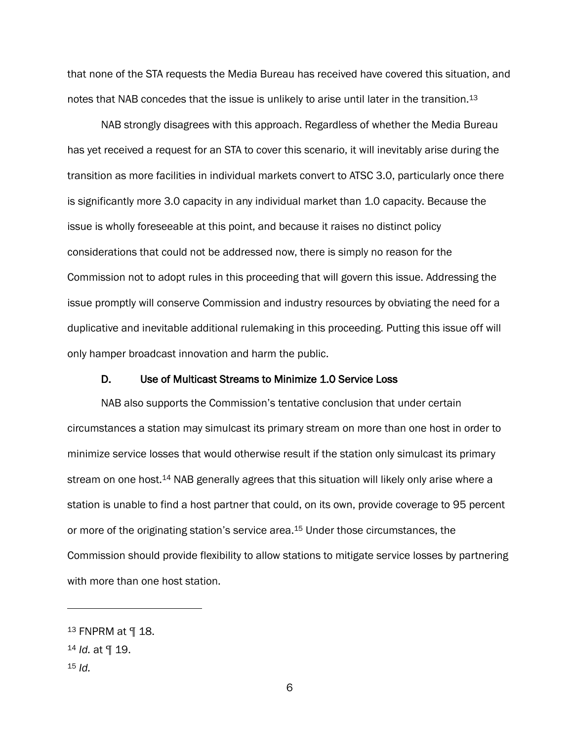that none of the STA requests the Media Bureau has received have covered this situation, and notes that NAB concedes that the issue is unlikely to arise until later in the transition.<sup>13</sup>

NAB strongly disagrees with this approach. Regardless of whether the Media Bureau has yet received a request for an STA to cover this scenario, it will inevitably arise during the transition as more facilities in individual markets convert to ATSC 3.0, particularly once there is significantly more 3.0 capacity in any individual market than 1.0 capacity. Because the issue is wholly foreseeable at this point, and because it raises no distinct policy considerations that could not be addressed now, there is simply no reason for the Commission not to adopt rules in this proceeding that will govern this issue. Addressing the issue promptly will conserve Commission and industry resources by obviating the need for a duplicative and inevitable additional rulemaking in this proceeding. Putting this issue off will only hamper broadcast innovation and harm the public.

#### <span id="page-7-0"></span>D. Use of Multicast Streams to Minimize 1.0 Service Loss

NAB also supports the Commission's tentative conclusion that under certain circumstances a station may simulcast its primary stream on more than one host in order to minimize service losses that would otherwise result if the station only simulcast its primary stream on one host.<sup>14</sup> NAB generally agrees that this situation will likely only arise where a station is unable to find a host partner that could, on its own, provide coverage to 95 percent or more of the originating station's service area.<sup>15</sup> Under those circumstances, the Commission should provide flexibility to allow stations to mitigate service losses by partnering with more than one host station.

<sup>13</sup> FNPRM at ¶ 18.

<sup>14</sup> *Id.* at ¶ 19.

<sup>15</sup> *Id.*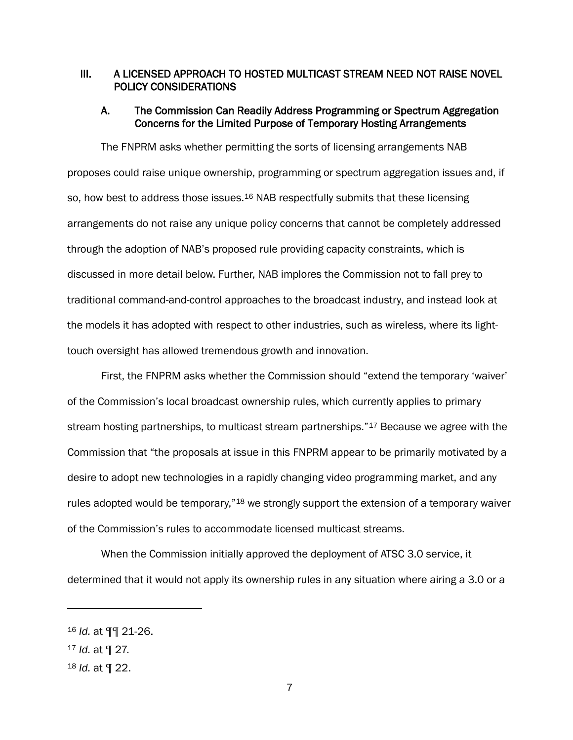# <span id="page-8-0"></span>III. A LICENSED APPROACH TO HOSTED MULTICAST STREAM NEED NOT RAISE NOVEL POLICY CONSIDERATIONS

### <span id="page-8-1"></span>A. The Commission Can Readily Address Programming or Spectrum Aggregation Concerns for the Limited Purpose of Temporary Hosting Arrangements

The FNPRM asks whether permitting the sorts of licensing arrangements NAB proposes could raise unique ownership, programming or spectrum aggregation issues and, if so, how best to address those issues.<sup>16</sup> NAB respectfully submits that these licensing arrangements do not raise any unique policy concerns that cannot be completely addressed through the adoption of NAB's proposed rule providing capacity constraints, which is discussed in more detail below. Further, NAB implores the Commission not to fall prey to traditional command-and-control approaches to the broadcast industry, and instead look at the models it has adopted with respect to other industries, such as wireless, where its lighttouch oversight has allowed tremendous growth and innovation.

First, the FNPRM asks whether the Commission should "extend the temporary 'waiver' of the Commission's local broadcast ownership rules, which currently applies to primary stream hosting partnerships, to multicast stream partnerships."<sup>17</sup> Because we agree with the Commission that "the proposals at issue in this FNPRM appear to be primarily motivated by a desire to adopt new technologies in a rapidly changing video programming market, and any rules adopted would be temporary,"<sup>18</sup> we strongly support the extension of a temporary waiver of the Commission's rules to accommodate licensed multicast streams.

When the Commission initially approved the deployment of ATSC 3.0 service, it determined that it would not apply its ownership rules in any situation where airing a 3.0 or a

<sup>16</sup> *Id.* at ¶¶ 21-26.

<sup>17</sup> *Id.* at ¶ 27.

<sup>18</sup> *Id.* at ¶ 22.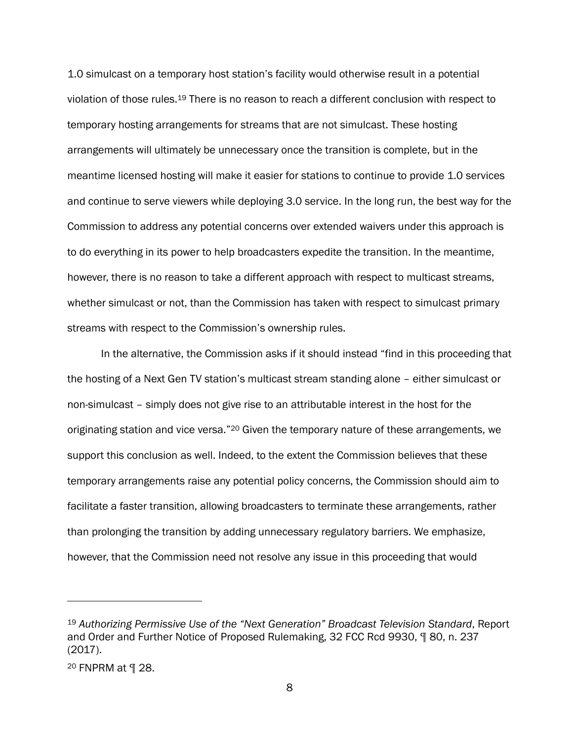1.0 simulcast on a temporary host station's facility would otherwise result in a potential violation of those rules.<sup>19</sup> There is no reason to reach a different conclusion with respect to temporary hosting arrangements for streams that are not simulcast. These hosting arrangements will ultimately be unnecessary once the transition is complete, but in the meantime licensed hosting will make it easier for stations to continue to provide 1.0 services and continue to serve viewers while deploying 3.0 service. In the long run, the best way for the Commission to address any potential concerns over extended waivers under this approach is to do everything in its power to help broadcasters expedite the transition. In the meantime, however, there is no reason to take a different approach with respect to multicast streams, whether simulcast or not, than the Commission has taken with respect to simulcast primary streams with respect to the Commission's ownership rules.

In the alternative, the Commission asks if it should instead "find in this proceeding that the hosting of a Next Gen TV station's multicast stream standing alone – either simulcast or non-simulcast – simply does not give rise to an attributable interest in the host for the originating station and vice versa."<sup>20</sup> Given the temporary nature of these arrangements, we support this conclusion as well. Indeed, to the extent the Commission believes that these temporary arrangements raise any potential policy concerns, the Commission should aim to facilitate a faster transition, allowing broadcasters to terminate these arrangements, rather than prolonging the transition by adding unnecessary regulatory barriers. We emphasize, however, that the Commission need not resolve any issue in this proceeding that would

<sup>19</sup> *Authorizing Permissive Use of the "Next Generation" Broadcast Television Standard*, Report and Order and Further Notice of Proposed Rulemaking, 32 FCC Rcd 9930, ¶ 80, n. 237 (2017).

<sup>20</sup> FNPRM at ¶ 28.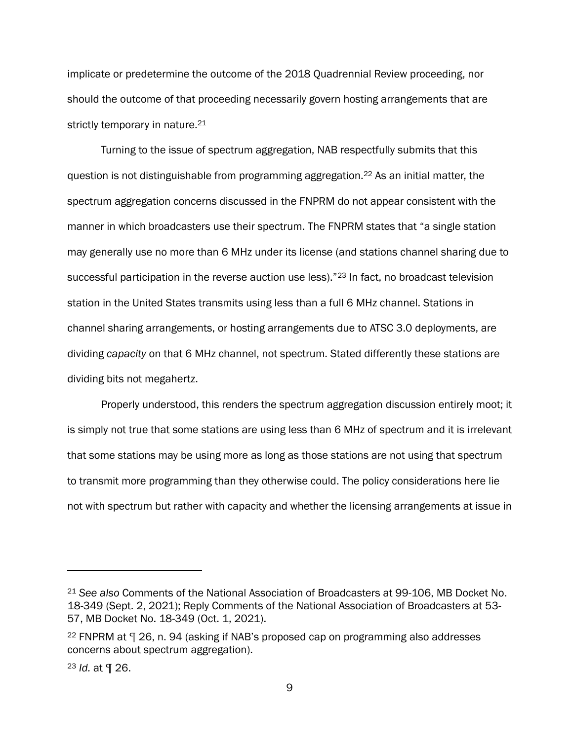implicate or predetermine the outcome of the 2018 Quadrennial Review proceeding, nor should the outcome of that proceeding necessarily govern hosting arrangements that are strictly temporary in nature.<sup>21</sup>

Turning to the issue of spectrum aggregation, NAB respectfully submits that this question is not distinguishable from programming aggregation.<sup>22</sup> As an initial matter, the spectrum aggregation concerns discussed in the FNPRM do not appear consistent with the manner in which broadcasters use their spectrum. The FNPRM states that "a single station may generally use no more than 6 MHz under its license (and stations channel sharing due to successful participation in the reverse auction use less)."<sup>23</sup> In fact, no broadcast television station in the United States transmits using less than a full 6 MHz channel. Stations in channel sharing arrangements, or hosting arrangements due to ATSC 3.0 deployments, are dividing *capacity* on that 6 MHz channel, not spectrum. Stated differently these stations are dividing bits not megahertz.

Properly understood, this renders the spectrum aggregation discussion entirely moot; it is simply not true that some stations are using less than 6 MHz of spectrum and it is irrelevant that some stations may be using more as long as those stations are not using that spectrum to transmit more programming than they otherwise could. The policy considerations here lie not with spectrum but rather with capacity and whether the licensing arrangements at issue in

<sup>21</sup> *See also* Comments of the National Association of Broadcasters at 99-106, MB Docket No. 18-349 (Sept. 2, 2021); Reply Comments of the National Association of Broadcasters at 53- 57, MB Docket No. 18-349 (Oct. 1, 2021).

<sup>22</sup> FNPRM at ¶ 26, n. 94 (asking if NAB's proposed cap on programming also addresses concerns about spectrum aggregation).

<sup>23</sup> *Id.* at ¶ 26.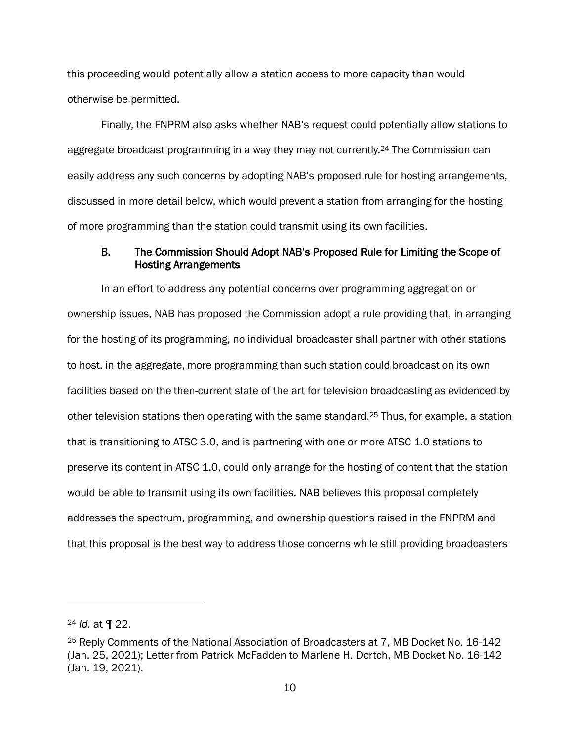this proceeding would potentially allow a station access to more capacity than would otherwise be permitted.

Finally, the FNPRM also asks whether NAB's request could potentially allow stations to aggregate broadcast programming in a way they may not currently.<sup>24</sup> The Commission can easily address any such concerns by adopting NAB's proposed rule for hosting arrangements, discussed in more detail below, which would prevent a station from arranging for the hosting of more programming than the station could transmit using its own facilities.

### <span id="page-11-0"></span>B. The Commission Should Adopt NAB's Proposed Rule for Limiting the Scope of Hosting Arrangements

In an effort to address any potential concerns over programming aggregation or ownership issues, NAB has proposed the Commission adopt a rule providing that, in arranging for the hosting of its programming, no individual broadcaster shall partner with other stations to host, in the aggregate, more programming than such station could broadcast on its own facilities based on the then-current state of the art for television broadcasting as evidenced by other television stations then operating with the same standard.<sup>25</sup> Thus, for example, a station that is transitioning to ATSC 3.0, and is partnering with one or more ATSC 1.0 stations to preserve its content in ATSC 1.0, could only arrange for the hosting of content that the station would be able to transmit using its own facilities. NAB believes this proposal completely addresses the spectrum, programming, and ownership questions raised in the FNPRM and that this proposal is the best way to address those concerns while still providing broadcasters

<sup>24</sup> *Id.* at ¶ 22.

<sup>25</sup> Reply Comments of the National Association of Broadcasters at 7, MB Docket No. 16-142 (Jan. 25, 2021); Letter from Patrick McFadden to Marlene H. Dortch, MB Docket No. 16-142 (Jan. 19, 2021).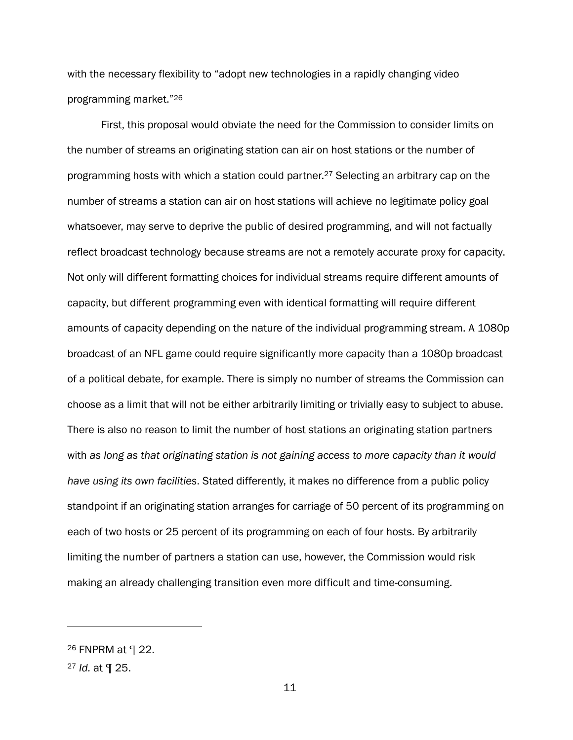with the necessary flexibility to "adopt new technologies in a rapidly changing video programming market."<sup>26</sup>

First, this proposal would obviate the need for the Commission to consider limits on the number of streams an originating station can air on host stations or the number of programming hosts with which a station could partner.<sup>27</sup> Selecting an arbitrary cap on the number of streams a station can air on host stations will achieve no legitimate policy goal whatsoever, may serve to deprive the public of desired programming, and will not factually reflect broadcast technology because streams are not a remotely accurate proxy for capacity. Not only will different formatting choices for individual streams require different amounts of capacity, but different programming even with identical formatting will require different amounts of capacity depending on the nature of the individual programming stream. A 1080p broadcast of an NFL game could require significantly more capacity than a 1080p broadcast of a political debate, for example. There is simply no number of streams the Commission can choose as a limit that will not be either arbitrarily limiting or trivially easy to subject to abuse. There is also no reason to limit the number of host stations an originating station partners with *as long as that originating station is not gaining access to more capacity than it would have using its own facilities*. Stated differently, it makes no difference from a public policy standpoint if an originating station arranges for carriage of 50 percent of its programming on each of two hosts or 25 percent of its programming on each of four hosts. By arbitrarily limiting the number of partners a station can use, however, the Commission would risk making an already challenging transition even more difficult and time-consuming.

<sup>26</sup> FNPRM at ¶ 22.

<sup>27</sup> *Id.* at ¶ 25.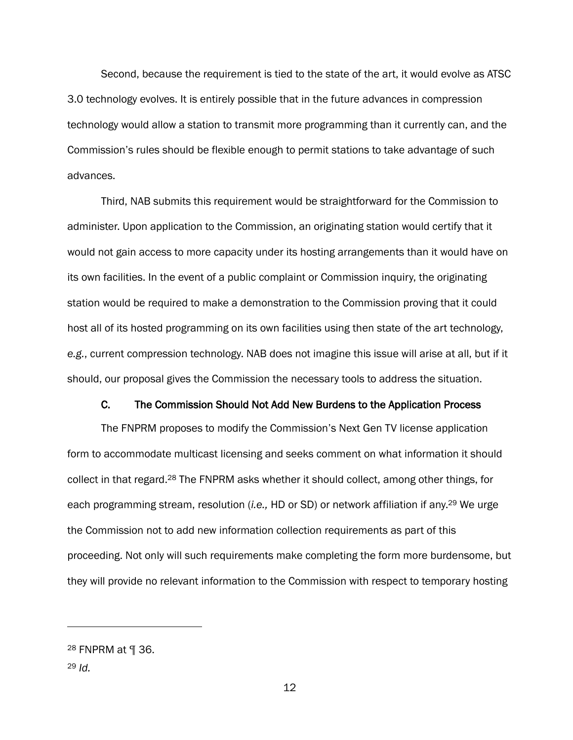Second, because the requirement is tied to the state of the art, it would evolve as ATSC 3.0 technology evolves. It is entirely possible that in the future advances in compression technology would allow a station to transmit more programming than it currently can, and the Commission's rules should be flexible enough to permit stations to take advantage of such advances.

Third, NAB submits this requirement would be straightforward for the Commission to administer. Upon application to the Commission, an originating station would certify that it would not gain access to more capacity under its hosting arrangements than it would have on its own facilities. In the event of a public complaint or Commission inquiry, the originating station would be required to make a demonstration to the Commission proving that it could host all of its hosted programming on its own facilities using then state of the art technology, *e.g.*, current compression technology. NAB does not imagine this issue will arise at all, but if it should, our proposal gives the Commission the necessary tools to address the situation.

### C. The Commission Should Not Add New Burdens to the Application Process

<span id="page-13-0"></span>The FNPRM proposes to modify the Commission's Next Gen TV license application form to accommodate multicast licensing and seeks comment on what information it should collect in that regard.<sup>28</sup> The FNPRM asks whether it should collect, among other things, for each programming stream, resolution (*i.e.,* HD or SD) or network affiliation if any.<sup>29</sup> We urge the Commission not to add new information collection requirements as part of this proceeding. Not only will such requirements make completing the form more burdensome, but they will provide no relevant information to the Commission with respect to temporary hosting

<sup>28</sup> FNPRM at ¶ 36.

<sup>29</sup> *Id.*